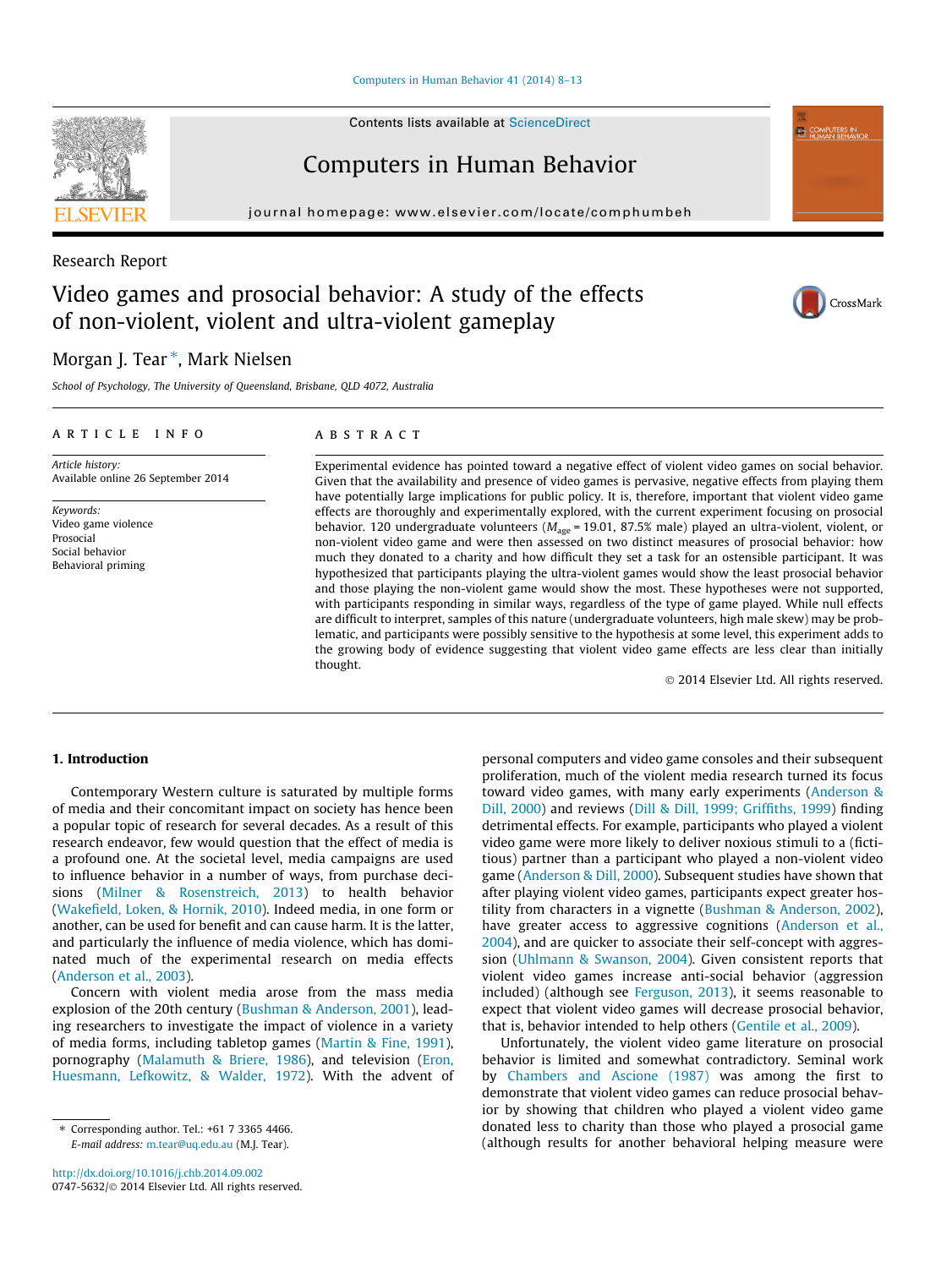[Computers in Human Behavior 41 \(2014\) 8–13](http://dx.doi.org/10.1016/j.chb.2014.09.002)

Contents lists available at [ScienceDirect](http://www.sciencedirect.com/science/journal/07475632)

# Computers in Human Behavior

journal homepage: [www.elsevier.com/locate/comphumbeh](http://www.elsevier.com/locate/comphumbeh)

# Research Report

# Video games and prosocial behavior: A study of the effects of non-violent, violent and ultra-violent gameplay

# Morgan J. Tear \*, Mark Nielsen

School of Psychology, The University of Queensland, Brisbane, QLD 4072, Australia

# article info

Article history: Available online 26 September 2014

Keywords: Video game violence Prosocial Social behavior Behavioral priming

# **ABSTRACT**

Experimental evidence has pointed toward a negative effect of violent video games on social behavior. Given that the availability and presence of video games is pervasive, negative effects from playing them have potentially large implications for public policy. It is, therefore, important that violent video game effects are thoroughly and experimentally explored, with the current experiment focusing on prosocial behavior. 120 undergraduate volunteers ( $M_{\text{age}}$  = 19.01, 87.5% male) played an ultra-violent, violent, or non-violent video game and were then assessed on two distinct measures of prosocial behavior: how much they donated to a charity and how difficult they set a task for an ostensible participant. It was hypothesized that participants playing the ultra-violent games would show the least prosocial behavior and those playing the non-violent game would show the most. These hypotheses were not supported, with participants responding in similar ways, regardless of the type of game played. While null effects are difficult to interpret, samples of this nature (undergraduate volunteers, high male skew) may be problematic, and participants were possibly sensitive to the hypothesis at some level, this experiment adds to the growing body of evidence suggesting that violent video game effects are less clear than initially thought.

- 2014 Elsevier Ltd. All rights reserved.

# 1. Introduction

Contemporary Western culture is saturated by multiple forms of media and their concomitant impact on society has hence been a popular topic of research for several decades. As a result of this research endeavor, few would question that the effect of media is a profound one. At the societal level, media campaigns are used to influence behavior in a number of ways, from purchase decisions ([Milner & Rosenstreich, 2013\)](#page-5-0) to health behavior ([Wakefield, Loken, & Hornik, 2010\)](#page-5-0). Indeed media, in one form or another, can be used for benefit and can cause harm. It is the latter, and particularly the influence of media violence, which has dominated much of the experimental research on media effects ([Anderson et al., 2003](#page-4-0)).

Concern with violent media arose from the mass media explosion of the 20th century [\(Bushman & Anderson, 2001](#page-5-0)), leading researchers to investigate the impact of violence in a variety of media forms, including tabletop games ([Martin & Fine, 1991\)](#page-5-0), pornography [\(Malamuth & Briere, 1986\)](#page-5-0), and television [\(Eron,](#page-5-0) [Huesmann, Lefkowitz, & Walder, 1972](#page-5-0)). With the advent of personal computers and video game consoles and their subsequent proliferation, much of the violent media research turned its focus toward video games, with many early experiments ([Anderson &](#page-4-0) [Dill, 2000\)](#page-4-0) and reviews [\(Dill & Dill, 1999; Griffiths, 1999](#page-5-0)) finding detrimental effects. For example, participants who played a violent video game were more likely to deliver noxious stimuli to a (fictitious) partner than a participant who played a non-violent video game [\(Anderson & Dill, 2000\)](#page-4-0). Subsequent studies have shown that after playing violent video games, participants expect greater hostility from characters in a vignette [\(Bushman & Anderson, 2002\)](#page-5-0), have greater access to aggressive cognitions ([Anderson et al.,](#page-4-0) [2004\)](#page-4-0), and are quicker to associate their self-concept with aggression [\(Uhlmann & Swanson, 2004](#page-5-0)). Given consistent reports that violent video games increase anti-social behavior (aggression included) (although see [Ferguson, 2013\)](#page-5-0), it seems reasonable to expect that violent video games will decrease prosocial behavior, that is, behavior intended to help others [\(Gentile et al., 2009](#page-5-0)).

Unfortunately, the violent video game literature on prosocial behavior is limited and somewhat contradictory. Seminal work by [Chambers and Ascione \(1987\)](#page-5-0) was among the first to demonstrate that violent video games can reduce prosocial behavior by showing that children who played a violent video game donated less to charity than those who played a prosocial game (although results for another behavioral helping measure were





**ED COMPUTERS IN** 

<sup>⇑</sup> Corresponding author. Tel.: +61 7 3365 4466. E-mail address: [m.tear@uq.edu.au](mailto:m.tear@uq.edu.au) (M.J. Tear).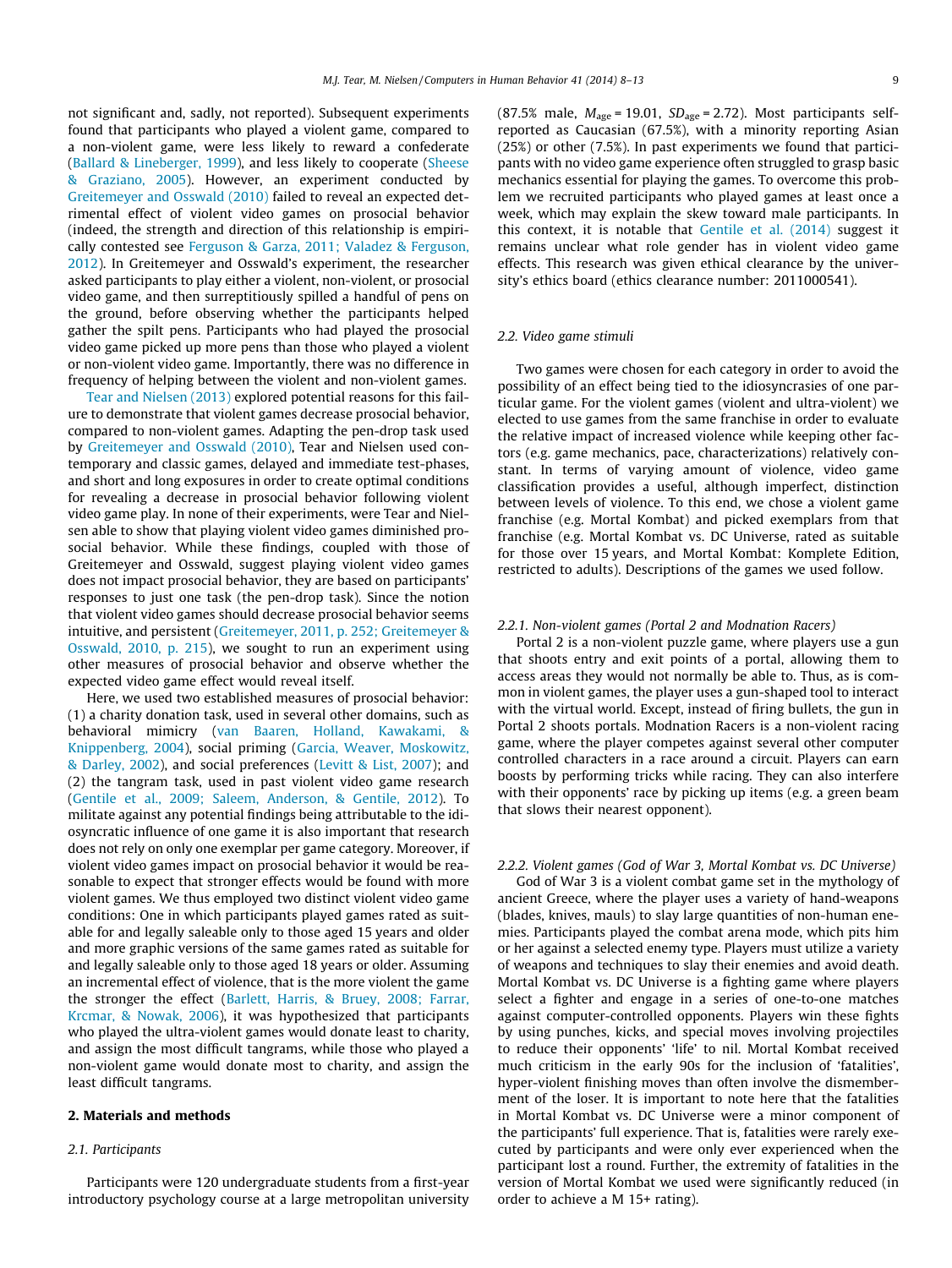not significant and, sadly, not reported). Subsequent experiments found that participants who played a violent game, compared to a non-violent game, were less likely to reward a confederate ([Ballard & Lineberger, 1999](#page-5-0)), and less likely to cooperate ([Sheese](#page-5-0) [& Graziano, 2005\)](#page-5-0). However, an experiment conducted by [Greitemeyer and Osswald \(2010\)](#page-5-0) failed to reveal an expected detrimental effect of violent video games on prosocial behavior (indeed, the strength and direction of this relationship is empirically contested see [Ferguson & Garza, 2011; Valadez & Ferguson,](#page-5-0) [2012\)](#page-5-0). In Greitemeyer and Osswald's experiment, the researcher asked participants to play either a violent, non-violent, or prosocial video game, and then surreptitiously spilled a handful of pens on the ground, before observing whether the participants helped gather the spilt pens. Participants who had played the prosocial video game picked up more pens than those who played a violent or non-violent video game. Importantly, there was no difference in frequency of helping between the violent and non-violent games.

[Tear and Nielsen \(2013\)](#page-5-0) explored potential reasons for this failure to demonstrate that violent games decrease prosocial behavior, compared to non-violent games. Adapting the pen-drop task used by [Greitemeyer and Osswald \(2010\)](#page-5-0), Tear and Nielsen used contemporary and classic games, delayed and immediate test-phases, and short and long exposures in order to create optimal conditions for revealing a decrease in prosocial behavior following violent video game play. In none of their experiments, were Tear and Nielsen able to show that playing violent video games diminished prosocial behavior. While these findings, coupled with those of Greitemeyer and Osswald, suggest playing violent video games does not impact prosocial behavior, they are based on participants' responses to just one task (the pen-drop task). Since the notion that violent video games should decrease prosocial behavior seems intuitive, and persistent [\(Greitemeyer, 2011, p. 252; Greitemeyer &](#page-5-0) [Osswald, 2010, p. 215\)](#page-5-0), we sought to run an experiment using other measures of prosocial behavior and observe whether the expected video game effect would reveal itself.

Here, we used two established measures of prosocial behavior: (1) a charity donation task, used in several other domains, such as behavioral mimicry ([van Baaren, Holland, Kawakami, &](#page-5-0) [Knippenberg, 2004](#page-5-0)), social priming ([Garcia, Weaver, Moskowitz,](#page-5-0) [& Darley, 2002](#page-5-0)), and social preferences ([Levitt & List, 2007](#page-5-0)); and (2) the tangram task, used in past violent video game research ([Gentile et al., 2009; Saleem, Anderson, & Gentile, 2012](#page-5-0)). To militate against any potential findings being attributable to the idiosyncratic influence of one game it is also important that research does not rely on only one exemplar per game category. Moreover, if violent video games impact on prosocial behavior it would be reasonable to expect that stronger effects would be found with more violent games. We thus employed two distinct violent video game conditions: One in which participants played games rated as suitable for and legally saleable only to those aged 15 years and older and more graphic versions of the same games rated as suitable for and legally saleable only to those aged 18 years or older. Assuming an incremental effect of violence, that is the more violent the game the stronger the effect ([Barlett, Harris, & Bruey, 2008; Farrar,](#page-5-0) [Krcmar, & Nowak, 2006](#page-5-0)), it was hypothesized that participants who played the ultra-violent games would donate least to charity, and assign the most difficult tangrams, while those who played a non-violent game would donate most to charity, and assign the least difficult tangrams.

# 2. Materials and methods

# 2.1. Participants

Participants were 120 undergraduate students from a first-year introductory psychology course at a large metropolitan university (87.5% male,  $M_{\text{age}}$  = 19.01,  $SD_{\text{age}}$  = 2.72). Most participants selfreported as Caucasian (67.5%), with a minority reporting Asian (25%) or other (7.5%). In past experiments we found that participants with no video game experience often struggled to grasp basic mechanics essential for playing the games. To overcome this problem we recruited participants who played games at least once a week, which may explain the skew toward male participants. In this context, it is notable that [Gentile et al. \(2014\)](#page-5-0) suggest it remains unclear what role gender has in violent video game effects. This research was given ethical clearance by the university's ethics board (ethics clearance number: 2011000541).

#### 2.2. Video game stimuli

Two games were chosen for each category in order to avoid the possibility of an effect being tied to the idiosyncrasies of one particular game. For the violent games (violent and ultra-violent) we elected to use games from the same franchise in order to evaluate the relative impact of increased violence while keeping other factors (e.g. game mechanics, pace, characterizations) relatively constant. In terms of varying amount of violence, video game classification provides a useful, although imperfect, distinction between levels of violence. To this end, we chose a violent game franchise (e.g. Mortal Kombat) and picked exemplars from that franchise (e.g. Mortal Kombat vs. DC Universe, rated as suitable for those over 15 years, and Mortal Kombat: Komplete Edition, restricted to adults). Descriptions of the games we used follow.

# 2.2.1. Non-violent games (Portal 2 and Modnation Racers)

Portal 2 is a non-violent puzzle game, where players use a gun that shoots entry and exit points of a portal, allowing them to access areas they would not normally be able to. Thus, as is common in violent games, the player uses a gun-shaped tool to interact with the virtual world. Except, instead of firing bullets, the gun in Portal 2 shoots portals. Modnation Racers is a non-violent racing game, where the player competes against several other computer controlled characters in a race around a circuit. Players can earn boosts by performing tricks while racing. They can also interfere with their opponents' race by picking up items (e.g. a green beam that slows their nearest opponent).

# 2.2.2. Violent games (God of War 3, Mortal Kombat vs. DC Universe)

God of War 3 is a violent combat game set in the mythology of ancient Greece, where the player uses a variety of hand-weapons (blades, knives, mauls) to slay large quantities of non-human enemies. Participants played the combat arena mode, which pits him or her against a selected enemy type. Players must utilize a variety of weapons and techniques to slay their enemies and avoid death. Mortal Kombat vs. DC Universe is a fighting game where players select a fighter and engage in a series of one-to-one matches against computer-controlled opponents. Players win these fights by using punches, kicks, and special moves involving projectiles to reduce their opponents' 'life' to nil. Mortal Kombat received much criticism in the early 90s for the inclusion of 'fatalities', hyper-violent finishing moves than often involve the dismemberment of the loser. It is important to note here that the fatalities in Mortal Kombat vs. DC Universe were a minor component of the participants' full experience. That is, fatalities were rarely executed by participants and were only ever experienced when the participant lost a round. Further, the extremity of fatalities in the version of Mortal Kombat we used were significantly reduced (in order to achieve a M 15+ rating).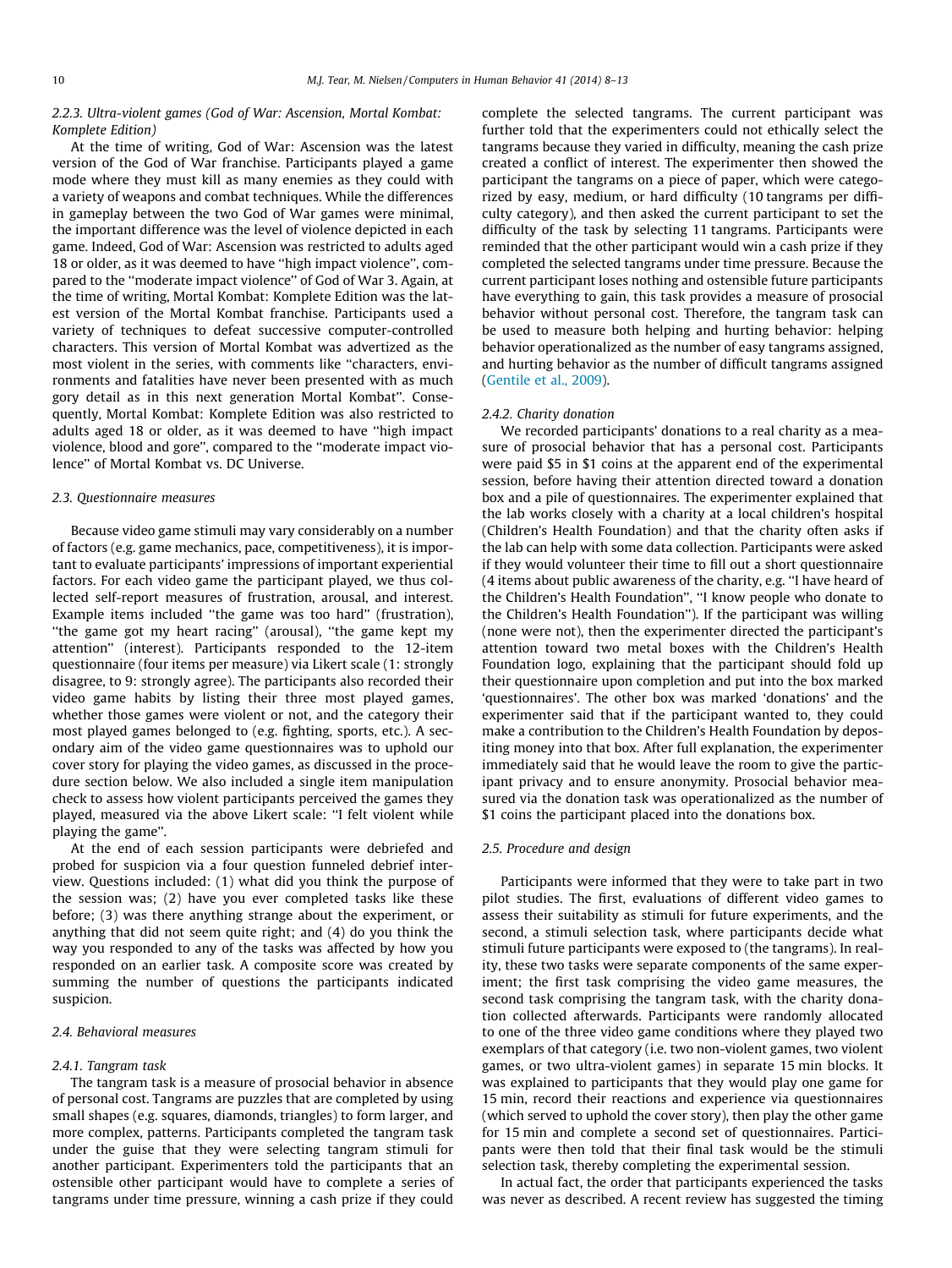# 2.2.3. Ultra-violent games (God of War: Ascension, Mortal Kombat: Komplete Edition)

At the time of writing, God of War: Ascension was the latest version of the God of War franchise. Participants played a game mode where they must kill as many enemies as they could with a variety of weapons and combat techniques. While the differences in gameplay between the two God of War games were minimal, the important difference was the level of violence depicted in each game. Indeed, God of War: Ascension was restricted to adults aged 18 or older, as it was deemed to have ''high impact violence'', compared to the ''moderate impact violence'' of God of War 3. Again, at the time of writing, Mortal Kombat: Komplete Edition was the latest version of the Mortal Kombat franchise. Participants used a variety of techniques to defeat successive computer-controlled characters. This version of Mortal Kombat was advertized as the most violent in the series, with comments like ''characters, environments and fatalities have never been presented with as much gory detail as in this next generation Mortal Kombat''. Consequently, Mortal Kombat: Komplete Edition was also restricted to adults aged 18 or older, as it was deemed to have ''high impact violence, blood and gore'', compared to the ''moderate impact violence'' of Mortal Kombat vs. DC Universe.

# 2.3. Questionnaire measures

Because video game stimuli may vary considerably on a number of factors (e.g. game mechanics, pace, competitiveness), it is important to evaluate participants' impressions of important experiential factors. For each video game the participant played, we thus collected self-report measures of frustration, arousal, and interest. Example items included ''the game was too hard'' (frustration), ''the game got my heart racing'' (arousal), ''the game kept my attention'' (interest). Participants responded to the 12-item questionnaire (four items per measure) via Likert scale (1: strongly disagree, to 9: strongly agree). The participants also recorded their video game habits by listing their three most played games, whether those games were violent or not, and the category their most played games belonged to (e.g. fighting, sports, etc.). A secondary aim of the video game questionnaires was to uphold our cover story for playing the video games, as discussed in the procedure section below. We also included a single item manipulation check to assess how violent participants perceived the games they played, measured via the above Likert scale: ''I felt violent while playing the game''.

At the end of each session participants were debriefed and probed for suspicion via a four question funneled debrief interview. Questions included: (1) what did you think the purpose of the session was; (2) have you ever completed tasks like these before; (3) was there anything strange about the experiment, or anything that did not seem quite right; and (4) do you think the way you responded to any of the tasks was affected by how you responded on an earlier task. A composite score was created by summing the number of questions the participants indicated suspicion.

# 2.4. Behavioral measures

#### 2.4.1. Tangram task

The tangram task is a measure of prosocial behavior in absence of personal cost. Tangrams are puzzles that are completed by using small shapes (e.g. squares, diamonds, triangles) to form larger, and more complex, patterns. Participants completed the tangram task under the guise that they were selecting tangram stimuli for another participant. Experimenters told the participants that an ostensible other participant would have to complete a series of tangrams under time pressure, winning a cash prize if they could complete the selected tangrams. The current participant was further told that the experimenters could not ethically select the tangrams because they varied in difficulty, meaning the cash prize created a conflict of interest. The experimenter then showed the participant the tangrams on a piece of paper, which were categorized by easy, medium, or hard difficulty (10 tangrams per difficulty category), and then asked the current participant to set the difficulty of the task by selecting 11 tangrams. Participants were reminded that the other participant would win a cash prize if they completed the selected tangrams under time pressure. Because the current participant loses nothing and ostensible future participants have everything to gain, this task provides a measure of prosocial behavior without personal cost. Therefore, the tangram task can be used to measure both helping and hurting behavior: helping behavior operationalized as the number of easy tangrams assigned, and hurting behavior as the number of difficult tangrams assigned ([Gentile et al., 2009\)](#page-5-0).

# 2.4.2. Charity donation

We recorded participants' donations to a real charity as a measure of prosocial behavior that has a personal cost. Participants were paid \$5 in \$1 coins at the apparent end of the experimental session, before having their attention directed toward a donation box and a pile of questionnaires. The experimenter explained that the lab works closely with a charity at a local children's hospital (Children's Health Foundation) and that the charity often asks if the lab can help with some data collection. Participants were asked if they would volunteer their time to fill out a short questionnaire (4 items about public awareness of the charity, e.g. ''I have heard of the Children's Health Foundation'', ''I know people who donate to the Children's Health Foundation''). If the participant was willing (none were not), then the experimenter directed the participant's attention toward two metal boxes with the Children's Health Foundation logo, explaining that the participant should fold up their questionnaire upon completion and put into the box marked 'questionnaires'. The other box was marked 'donations' and the experimenter said that if the participant wanted to, they could make a contribution to the Children's Health Foundation by depositing money into that box. After full explanation, the experimenter immediately said that he would leave the room to give the participant privacy and to ensure anonymity. Prosocial behavior measured via the donation task was operationalized as the number of \$1 coins the participant placed into the donations box.

# 2.5. Procedure and design

Participants were informed that they were to take part in two pilot studies. The first, evaluations of different video games to assess their suitability as stimuli for future experiments, and the second, a stimuli selection task, where participants decide what stimuli future participants were exposed to (the tangrams). In reality, these two tasks were separate components of the same experiment; the first task comprising the video game measures, the second task comprising the tangram task, with the charity donation collected afterwards. Participants were randomly allocated to one of the three video game conditions where they played two exemplars of that category (i.e. two non-violent games, two violent games, or two ultra-violent games) in separate 15 min blocks. It was explained to participants that they would play one game for 15 min, record their reactions and experience via questionnaires (which served to uphold the cover story), then play the other game for 15 min and complete a second set of questionnaires. Participants were then told that their final task would be the stimuli selection task, thereby completing the experimental session.

In actual fact, the order that participants experienced the tasks was never as described. A recent review has suggested the timing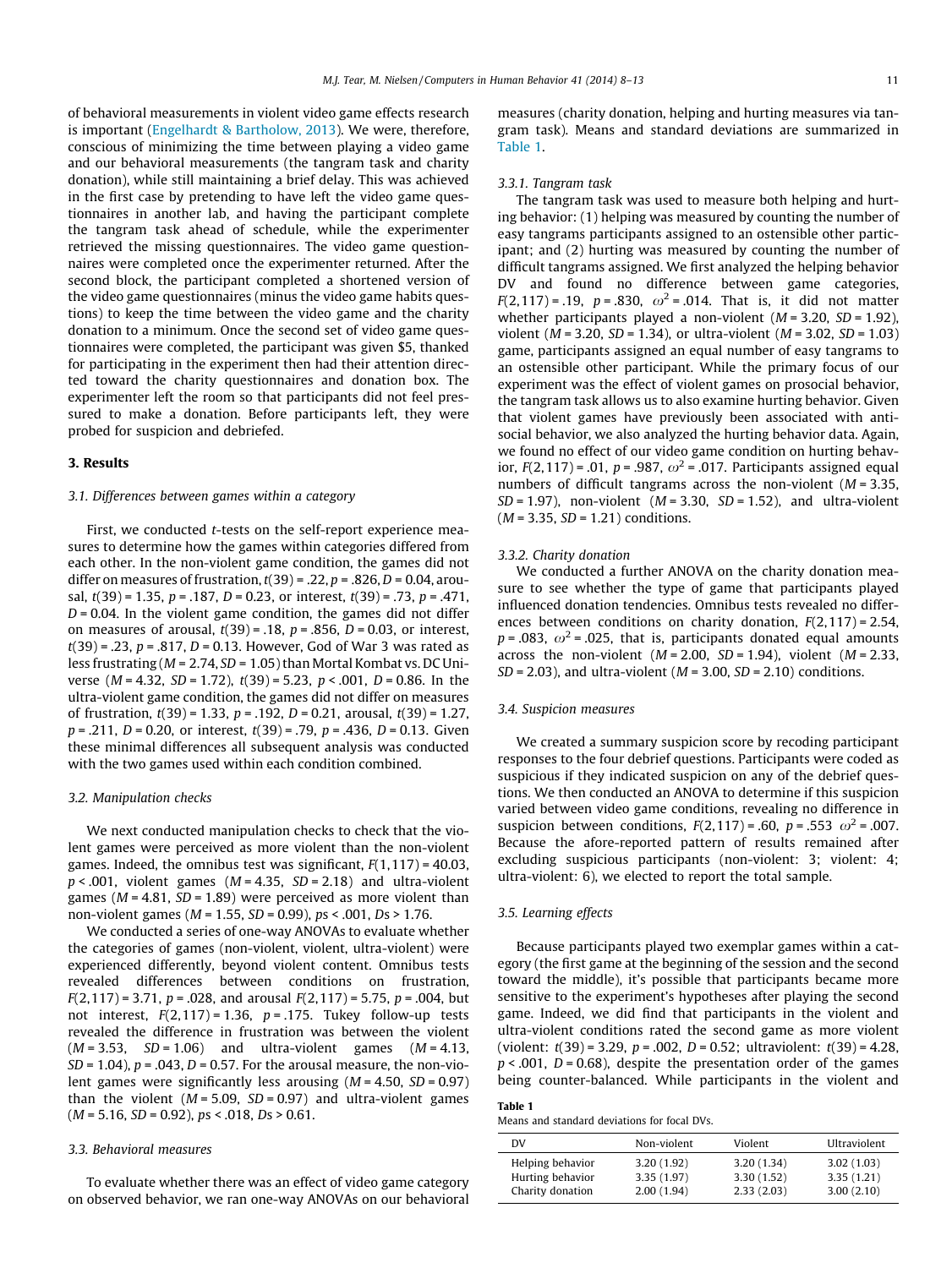<span id="page-3-0"></span>of behavioral measurements in violent video game effects research is important [\(Engelhardt & Bartholow, 2013](#page-5-0)). We were, therefore, conscious of minimizing the time between playing a video game and our behavioral measurements (the tangram task and charity donation), while still maintaining a brief delay. This was achieved in the first case by pretending to have left the video game questionnaires in another lab, and having the participant complete the tangram task ahead of schedule, while the experimenter retrieved the missing questionnaires. The video game questionnaires were completed once the experimenter returned. After the second block, the participant completed a shortened version of the video game questionnaires (minus the video game habits questions) to keep the time between the video game and the charity donation to a minimum. Once the second set of video game questionnaires were completed, the participant was given \$5, thanked for participating in the experiment then had their attention directed toward the charity questionnaires and donation box. The experimenter left the room so that participants did not feel pressured to make a donation. Before participants left, they were probed for suspicion and debriefed.

#### 3. Results

#### 3.1. Differences between games within a category

First, we conducted t-tests on the self-report experience measures to determine how the games within categories differed from each other. In the non-violent game condition, the games did not differ on measures of frustration,  $t(39) = .22$ ,  $p = .826$ ,  $D = 0.04$ , arousal,  $t(39) = 1.35$ ,  $p = .187$ ,  $D = 0.23$ , or interest,  $t(39) = .73$ ,  $p = .471$ ,  $D = 0.04$ . In the violent game condition, the games did not differ on measures of arousal,  $t(39) = .18$ ,  $p = .856$ ,  $D = 0.03$ , or interest,  $t(39) = .23$ ,  $p = .817$ ,  $D = 0.13$ . However, God of War 3 was rated as less frustrating ( $M = 2.74$ ,  $SD = 1.05$ ) than Mortal Kombat vs. DC Universe ( $M = 4.32$ ,  $SD = 1.72$ ),  $t(39) = 5.23$ ,  $p < .001$ ,  $D = 0.86$ . In the ultra-violent game condition, the games did not differ on measures of frustration,  $t(39) = 1.33$ ,  $p = .192$ ,  $D = 0.21$ , arousal,  $t(39) = 1.27$ ,  $p = 0.211$ ,  $D = 0.20$ , or interest,  $t(39) = 0.79$ ,  $p = 0.436$ ,  $D = 0.13$ . Given these minimal differences all subsequent analysis was conducted with the two games used within each condition combined.

# 3.2. Manipulation checks

We next conducted manipulation checks to check that the violent games were perceived as more violent than the non-violent games. Indeed, the omnibus test was significant,  $F(1,117) = 40.03$ ,  $p < .001$ , violent games ( $M = 4.35$ ,  $SD = 2.18$ ) and ultra-violent games ( $M = 4.81$ ,  $SD = 1.89$ ) were perceived as more violent than non-violent games ( $M = 1.55$ ,  $SD = 0.99$ ),  $ps < .001$ ,  $Ds > 1.76$ .

We conducted a series of one-way ANOVAs to evaluate whether the categories of games (non-violent, violent, ultra-violent) were experienced differently, beyond violent content. Omnibus tests revealed differences between conditions on frustration,  $F(2,117) = 3.71$ ,  $p = .028$ , and arousal  $F(2,117) = 5.75$ ,  $p = .004$ , but not interest,  $F(2,117) = 1.36$ ,  $p = .175$ . Tukey follow-up tests revealed the difference in frustration was between the violent  $(M = 3.53, SD = 1.06)$  and ultra-violent games  $(M = 4.13,$  $SD = 1.04$ ),  $p = .043$ ,  $D = 0.57$ . For the arousal measure, the non-violent games were significantly less arousing  $(M = 4.50, SD = 0.97)$ than the violent  $(M = 5.09, SD = 0.97)$  and ultra-violent games  $(M = 5.16, SD = 0.92), ps < .018, Ds > 0.61.$ 

# 3.3. Behavioral measures

To evaluate whether there was an effect of video game category on observed behavior, we ran one-way ANOVAs on our behavioral measures (charity donation, helping and hurting measures via tangram task). Means and standard deviations are summarized in Table 1.

#### 3.3.1. Tangram task

The tangram task was used to measure both helping and hurting behavior: (1) helping was measured by counting the number of easy tangrams participants assigned to an ostensible other participant; and (2) hurting was measured by counting the number of difficult tangrams assigned. We first analyzed the helping behavior DV and found no difference between game categories,  $F(2,117) = .19$ ,  $p = .830$ ,  $\omega^2 = .014$ . That is, it did not matter whether participants played a non-violent  $(M = 3.20, SD = 1.92)$ , violent ( $M = 3.20$ ,  $SD = 1.34$ ), or ultra-violent ( $M = 3.02$ ,  $SD = 1.03$ ) game, participants assigned an equal number of easy tangrams to an ostensible other participant. While the primary focus of our experiment was the effect of violent games on prosocial behavior, the tangram task allows us to also examine hurting behavior. Given that violent games have previously been associated with antisocial behavior, we also analyzed the hurting behavior data. Again, we found no effect of our video game condition on hurting behavior,  $F(2,117) = .01$ ,  $p = .987$ ,  $\omega^2 = .017$ . Participants assigned equal numbers of difficult tangrams across the non-violent ( $M = 3.35$ ,  $SD = 1.97$ ), non-violent ( $M = 3.30$ ,  $SD = 1.52$ ), and ultra-violent  $(M = 3.35, SD = 1.21)$  conditions.

#### 3.3.2. Charity donation

We conducted a further ANOVA on the charity donation measure to see whether the type of game that participants played influenced donation tendencies. Omnibus tests revealed no differences between conditions on charity donation,  $F(2,117) = 2.54$ ,  $p = .083$ ,  $\omega^2 = .025$ , that is, participants donated equal amounts across the non-violent  $(M = 2.00, SD = 1.94)$ , violent  $(M = 2.33,$  $SD = 2.03$ ), and ultra-violent ( $M = 3.00$ ,  $SD = 2.10$ ) conditions.

# 3.4. Suspicion measures

We created a summary suspicion score by recoding participant responses to the four debrief questions. Participants were coded as suspicious if they indicated suspicion on any of the debrief questions. We then conducted an ANOVA to determine if this suspicion varied between video game conditions, revealing no difference in suspicion between conditions,  $F(2,117) = .60$ ,  $p = .553$   $\omega^2 = .007$ . Because the afore-reported pattern of results remained after excluding suspicious participants (non-violent: 3; violent: 4; ultra-violent: 6), we elected to report the total sample.

#### 3.5. Learning effects

Because participants played two exemplar games within a category (the first game at the beginning of the session and the second toward the middle), it's possible that participants became more sensitive to the experiment's hypotheses after playing the second game. Indeed, we did find that participants in the violent and ultra-violent conditions rated the second game as more violent (violent:  $t(39) = 3.29$ ,  $p = .002$ ,  $D = 0.52$ ; ultraviolent:  $t(39) = 4.28$ ,  $p < .001$ ,  $D = 0.68$ ), despite the presentation order of the games being counter-balanced. While participants in the violent and

| Table 1                                      |  |  |  |
|----------------------------------------------|--|--|--|
| Means and standard deviations for focal DVs. |  |  |  |

| DV               | Non-violent | Violent    | Ultraviolent |
|------------------|-------------|------------|--------------|
| Helping behavior | 3.20(1.92)  | 3.20(1.34) | 3.02(1.03)   |
| Hurting behavior | 3.35(1.97)  | 3.30(1.52) | 3.35(1.21)   |
| Charity donation | 2.00(1.94)  | 2.33(2.03) | 3.00(2.10)   |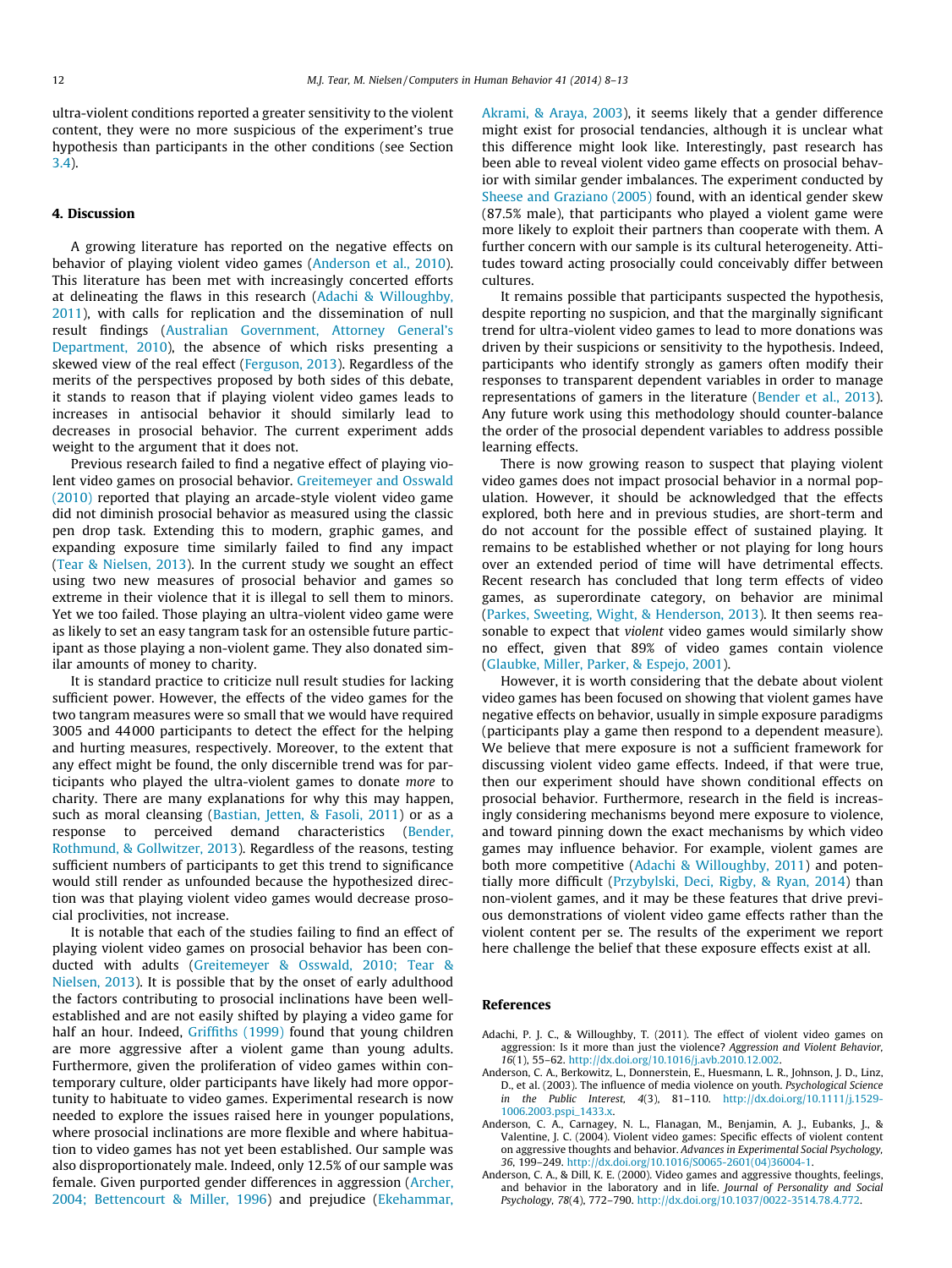<span id="page-4-0"></span>ultra-violent conditions reported a greater sensitivity to the violent content, they were no more suspicious of the experiment's true hypothesis than participants in the other conditions (see Section [3.4](#page-3-0)).

# 4. Discussion

A growing literature has reported on the negative effects on behavior of playing violent video games ([Anderson et al., 2010\)](#page-5-0). This literature has been met with increasingly concerted efforts at delineating the flaws in this research (Adachi & Willoughby, 2011), with calls for replication and the dissemination of null result findings ([Australian Government, Attorney General's](#page-5-0) [Department, 2010\)](#page-5-0), the absence of which risks presenting a skewed view of the real effect [\(Ferguson, 2013](#page-5-0)). Regardless of the merits of the perspectives proposed by both sides of this debate, it stands to reason that if playing violent video games leads to increases in antisocial behavior it should similarly lead to decreases in prosocial behavior. The current experiment adds weight to the argument that it does not.

Previous research failed to find a negative effect of playing violent video games on prosocial behavior. [Greitemeyer and Osswald](#page-5-0) [\(2010\)](#page-5-0) reported that playing an arcade-style violent video game did not diminish prosocial behavior as measured using the classic pen drop task. Extending this to modern, graphic games, and expanding exposure time similarly failed to find any impact ([Tear & Nielsen, 2013\)](#page-5-0). In the current study we sought an effect using two new measures of prosocial behavior and games so extreme in their violence that it is illegal to sell them to minors. Yet we too failed. Those playing an ultra-violent video game were as likely to set an easy tangram task for an ostensible future participant as those playing a non-violent game. They also donated similar amounts of money to charity.

It is standard practice to criticize null result studies for lacking sufficient power. However, the effects of the video games for the two tangram measures were so small that we would have required 3005 and 44 000 participants to detect the effect for the helping and hurting measures, respectively. Moreover, to the extent that any effect might be found, the only discernible trend was for participants who played the ultra-violent games to donate more to charity. There are many explanations for why this may happen, such as moral cleansing [\(Bastian, Jetten, & Fasoli, 2011\)](#page-5-0) or as a response to perceived demand characteristics [\(Bender,](#page-5-0) [Rothmund, & Gollwitzer, 2013\)](#page-5-0). Regardless of the reasons, testing sufficient numbers of participants to get this trend to significance would still render as unfounded because the hypothesized direction was that playing violent video games would decrease prosocial proclivities, not increase.

It is notable that each of the studies failing to find an effect of playing violent video games on prosocial behavior has been conducted with adults [\(Greitemeyer & Osswald, 2010; Tear &](#page-5-0) [Nielsen, 2013\)](#page-5-0). It is possible that by the onset of early adulthood the factors contributing to prosocial inclinations have been wellestablished and are not easily shifted by playing a video game for half an hour. Indeed, [Griffiths \(1999\)](#page-5-0) found that young children are more aggressive after a violent game than young adults. Furthermore, given the proliferation of video games within contemporary culture, older participants have likely had more opportunity to habituate to video games. Experimental research is now needed to explore the issues raised here in younger populations, where prosocial inclinations are more flexible and where habituation to video games has not yet been established. Our sample was also disproportionately male. Indeed, only 12.5% of our sample was female. Given purported gender differences in aggression ([Archer,](#page-5-0) [2004; Bettencourt & Miller, 1996](#page-5-0)) and prejudice ([Ekehammar,](#page-5-0) [Akrami, & Araya, 2003\)](#page-5-0), it seems likely that a gender difference might exist for prosocial tendancies, although it is unclear what this difference might look like. Interestingly, past research has been able to reveal violent video game effects on prosocial behavior with similar gender imbalances. The experiment conducted by [Sheese and Graziano \(2005\)](#page-5-0) found, with an identical gender skew (87.5% male), that participants who played a violent game were more likely to exploit their partners than cooperate with them. A further concern with our sample is its cultural heterogeneity. Attitudes toward acting prosocially could conceivably differ between cultures.

It remains possible that participants suspected the hypothesis, despite reporting no suspicion, and that the marginally significant trend for ultra-violent video games to lead to more donations was driven by their suspicions or sensitivity to the hypothesis. Indeed, participants who identify strongly as gamers often modify their responses to transparent dependent variables in order to manage representations of gamers in the literature [\(Bender et al., 2013\)](#page-5-0). Any future work using this methodology should counter-balance the order of the prosocial dependent variables to address possible learning effects.

There is now growing reason to suspect that playing violent video games does not impact prosocial behavior in a normal population. However, it should be acknowledged that the effects explored, both here and in previous studies, are short-term and do not account for the possible effect of sustained playing. It remains to be established whether or not playing for long hours over an extended period of time will have detrimental effects. Recent research has concluded that long term effects of video games, as superordinate category, on behavior are minimal ([Parkes, Sweeting, Wight, & Henderson, 2013\)](#page-5-0). It then seems reasonable to expect that violent video games would similarly show no effect, given that 89% of video games contain violence ([Glaubke, Miller, Parker, & Espejo, 2001](#page-5-0)).

However, it is worth considering that the debate about violent video games has been focused on showing that violent games have negative effects on behavior, usually in simple exposure paradigms (participants play a game then respond to a dependent measure). We believe that mere exposure is not a sufficient framework for discussing violent video game effects. Indeed, if that were true, then our experiment should have shown conditional effects on prosocial behavior. Furthermore, research in the field is increasingly considering mechanisms beyond mere exposure to violence, and toward pinning down the exact mechanisms by which video games may influence behavior. For example, violent games are both more competitive (Adachi & Willoughby, 2011) and potentially more difficult ([Przybylski, Deci, Rigby, & Ryan, 2014](#page-5-0)) than non-violent games, and it may be these features that drive previous demonstrations of violent video game effects rather than the violent content per se. The results of the experiment we report here challenge the belief that these exposure effects exist at all.

# References

- Adachi, P. J. C., & Willoughby, T. (2011). The effect of violent video games on aggression: Is it more than just the violence? Aggression and Violent Behavior, 16(1), 55–62. [http://dx.doi.org/10.1016/j.avb.2010.12.002.](http://dx.doi.org/10.1016/j.avb.2010.12.002)
- Anderson, C. A., Berkowitz, L., Donnerstein, E., Huesmann, L. R., Johnson, J. D., Linz, D., et al. (2003). The influence of media violence on youth. Psychological Science in the Public Interest, 4(3), 81–110. [http://dx.doi.org/10.1111/j.1529-](http://dx.doi.org/10.1111/j.1529-1006.2003.pspi_1433.x) [1006.2003.pspi\\_1433.x](http://dx.doi.org/10.1111/j.1529-1006.2003.pspi_1433.x).
- Anderson, C. A., Carnagey, N. L., Flanagan, M., Benjamin, A. J., Eubanks, J., & Valentine, J. C. (2004). Violent video games: Specific effects of violent content on aggressive thoughts and behavior. Advances in Experimental Social Psychology, 36, 199–249. [http://dx.doi.org/10.1016/S0065-2601\(04\)36004-1.](http://dx.doi.org/10.1016/S0065-2601(04)36004-1)
- Anderson, C. A., & Dill, K. E. (2000). Video games and aggressive thoughts, feelings, and behavior in the laboratory and in life. Journal of Personality and Social Psychology, 78(4), 772–790. <http://dx.doi.org/10.1037/0022-3514.78.4.772>.